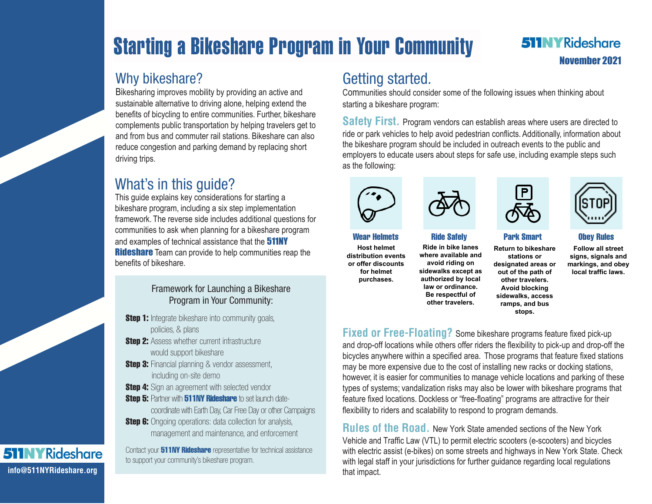# Starting a Bikeshare Program in Your Community

#### **511NYRideshare** November 2021

### Why bikeshare?

Bikesharing improves mobility by providing an active and sustainable alternative to driving alone, helping extend the benefits of bicycling to entire communities. Further, bikeshare complements public transportation by helping travelers get to and from bus and commuter rail stations. Bikeshare can also reduce congestion and parking demand by replacing short driving trips.

## What's in this guide?

This guide explains key considerations for starting a bikeshare program, including a six step implementation framework. The reverse side includes additional questions for communities to ask when planning for a bikeshare program and examples of technical assistance that the **511NY Rideshare** Team can provide to help communities reap the benefits of bikeshare.

#### Framework for Launching a Bikeshare Program in Your Community:

- **Step 1:** Integrate bikeshare into community goals, policies, & plans
- **Step 2:** Assess whether current infrastructure would support bikeshare
- **Step 3:** Financial planning & vendor assessment, including on-site demo
- **Step 4:** Sign an agreement with selected vendor
- Sten 5: Partner with 511NY Rideshare to set launch datecoordinate with Earth Day, Car Free Day or other Campaigns
- **Step 6:** Ongoing operations: data collection for analysis, management and maintenance, and enforcement

Contact your **511NY Rideshare** representative for technical assistance to support your community's bikeshare program.

## Getting started.

Communities should consider some of the following issues when thinking about starting a bikeshare program:

**Safety First.** Program vendors can establish areas where users are directed to ride or park vehicles to help avoid pedestrian conflicts. Additionally, information about the bikeshare program should be included in outreach events to the public and employers to educate users about steps for safe use, including example steps such as the following:





**Host helmet distribution events or offer discounts for helmet purchases.** 

**Ride in bike lanes where available and avoid riding on sidewalks except as authorized by local law or ordinance. Be respectful of other travelers.**



**Return to bikeshare stations or designated areas or out of the path of other travelers. Avoid blocking sidewalks, access ramps, and bus stops.**

Wear Helmets Ride Safely Park Smart Obey Rules

**Follow all street signs, signals and markings, and obey local traffic laws.**

**Fixed or Free-Floating?** Some bikeshare programs feature fixed pick-up and drop-off locations while others offer riders the flexibility to pick-up and drop-off the bicycles anywhere within a specified area. Those programs that feature fixed stations may be more expensive due to the cost of installing new racks or docking stations, however, it is easier for communities to manage vehicle locations and parking of these types of systems; vandalization risks may also be lower with bikeshare programs that feature fixed locations. Dockless or "free-floating" programs are attractive for their flexibility to riders and scalability to respond to program demands.

**Rules of the Road.** New York State amended sections of the New York Vehicle and Traffic Law (VTL) to permit electric scooters (e-scooters) and bicycles with electric assist (e-bikes) on some streets and highways in New York State. Check with legal staff in your jurisdictions for further guidance regarding local regulations that impact.

#### **511NYRideshare info@511NYRideshare.org**